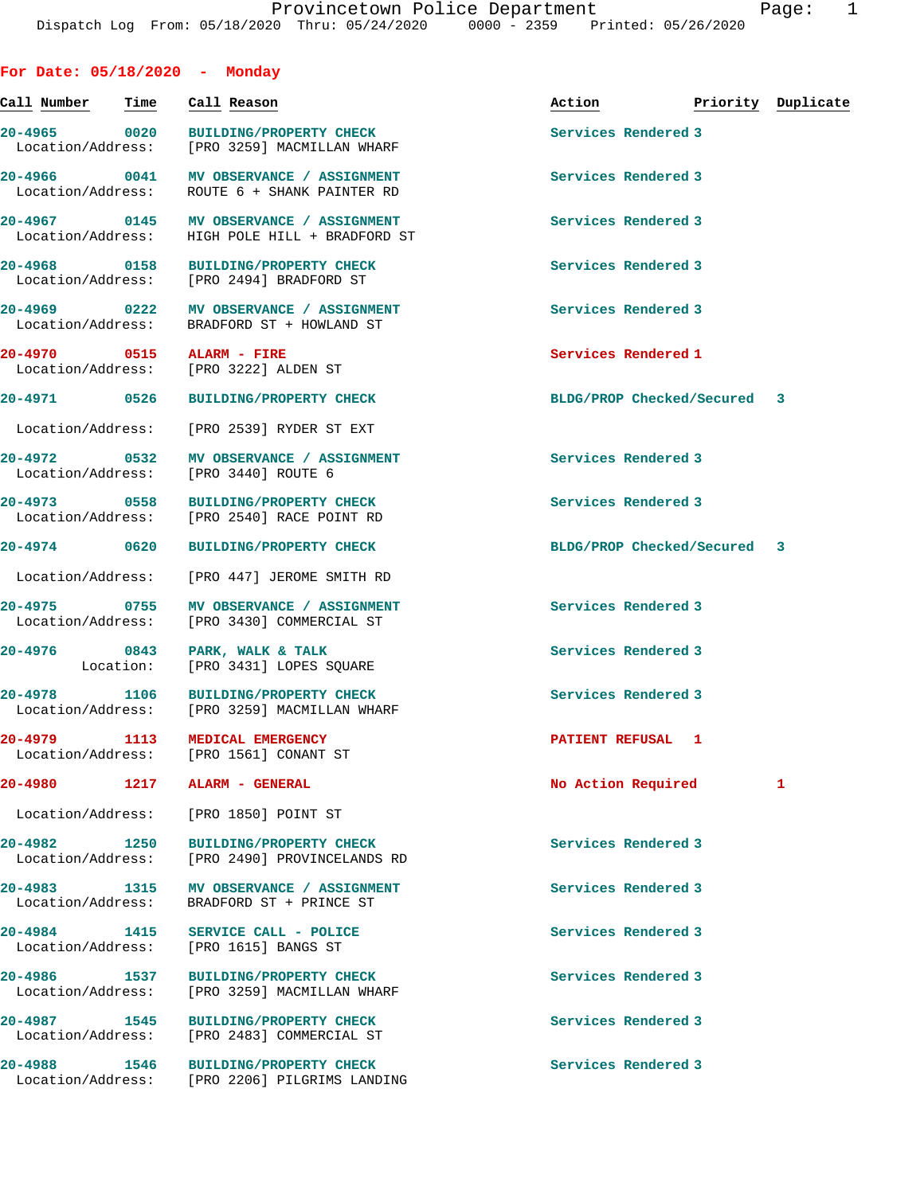**For Date: 05/18/2020 - Monday**

| Call Number                       | Time | Call Reason                                                                           | Action                      | Priority Duplicate |
|-----------------------------------|------|---------------------------------------------------------------------------------------|-----------------------------|--------------------|
| 20-4965 0020<br>Location/Address: |      | BUILDING/PROPERTY CHECK<br>[PRO 3259] MACMILLAN WHARF                                 | Services Rendered 3         |                    |
| 20-4966 0041<br>Location/Address: |      | MV OBSERVANCE / ASSIGNMENT<br>ROUTE 6 + SHANK PAINTER RD                              | Services Rendered 3         |                    |
| 20-4967 0145                      |      | <b>MV OBSERVANCE / ASSIGNMENT</b><br>Location/Address: HIGH POLE HILL + BRADFORD ST   | Services Rendered 3         |                    |
| 20-4968 0158<br>Location/Address: |      | <b>BUILDING/PROPERTY CHECK</b><br>[PRO 2494] BRADFORD ST                              | Services Rendered 3         |                    |
|                                   |      | 20-4969 0222 MV OBSERVANCE / ASSIGNMENT<br>Location/Address: BRADFORD ST + HOWLAND ST | Services Rendered 3         |                    |
| Location/Address:                 |      | 20-4970 0515 ALARM - FIRE<br>[PRO 3222] ALDEN ST                                      | Services Rendered 1         |                    |
| 20-4971 0526                      |      | <b>BUILDING/PROPERTY CHECK</b>                                                        | BLDG/PROP Checked/Secured 3 |                    |
| Location/Address:                 |      | [PRO 2539] RYDER ST EXT                                                               |                             |                    |
| 20-4972 0532<br>Location/Address: |      | MV OBSERVANCE / ASSIGNMENT<br>[PRO 3440] ROUTE 6                                      | Services Rendered 3         |                    |
| 20-4973 0558<br>Location/Address: |      | <b>BUILDING/PROPERTY CHECK</b><br>[PRO 2540] RACE POINT RD                            | Services Rendered 3         |                    |
| 20-4974 0620                      |      | <b>BUILDING/PROPERTY CHECK</b>                                                        | BLDG/PROP Checked/Secured 3 |                    |
| Location/Address:                 |      | [PRO 447] JEROME SMITH RD                                                             |                             |                    |
| 20-4975 0755<br>Location/Address: |      | MV OBSERVANCE / ASSIGNMENT<br>[PRO 3430] COMMERCIAL ST                                | Services Rendered 3         |                    |
| 20-4976 0843                      |      | PARK, WALK & TALK<br>Location: [PRO 3431] LOPES SQUARE                                | Services Rendered 3         |                    |
| 20-4978 1106                      |      | <b>BUILDING/PROPERTY CHECK</b><br>Location/Address: [PRO 3259] MACMILLAN WHARF        | Services Rendered 3         |                    |
|                                   |      | 20-4979 1113 MEDICAL EMERGENCY<br>Location/Address: [PRO 1561] CONANT ST              | PATIENT REFUSAL 1           |                    |
| 20-4980                           | 1217 | ALARM - GENERAL                                                                       | No Action Required          | 1                  |
| Location/Address:                 |      | [PRO 1850] POINT ST                                                                   |                             |                    |
| 20-4982<br>Location/Address:      | 1250 | <b>BUILDING/PROPERTY CHECK</b><br>[PRO 2490] PROVINCELANDS RD                         | Services Rendered 3         |                    |
| 20-4983 1315<br>Location/Address: |      | MV OBSERVANCE / ASSIGNMENT<br>BRADFORD ST + PRINCE ST                                 | Services Rendered 3         |                    |
| 20-4984 1415<br>Location/Address: |      | SERVICE CALL - POLICE<br>[PRO 1615] BANGS ST                                          | Services Rendered 3         |                    |
| 20-4986 1537<br>Location/Address: |      | <b>BUILDING/PROPERTY CHECK</b><br>[PRO 3259] MACMILLAN WHARF                          | Services Rendered 3         |                    |
| 20-4987 1545<br>Location/Address: |      | <b>BUILDING/PROPERTY CHECK</b><br>[PRO 2483] COMMERCIAL ST                            | Services Rendered 3         |                    |
| 20-4988<br>Location/Address:      | 1546 | <b>BUILDING/PROPERTY CHECK</b><br>[PRO 2206] PILGRIMS LANDING                         | Services Rendered 3         |                    |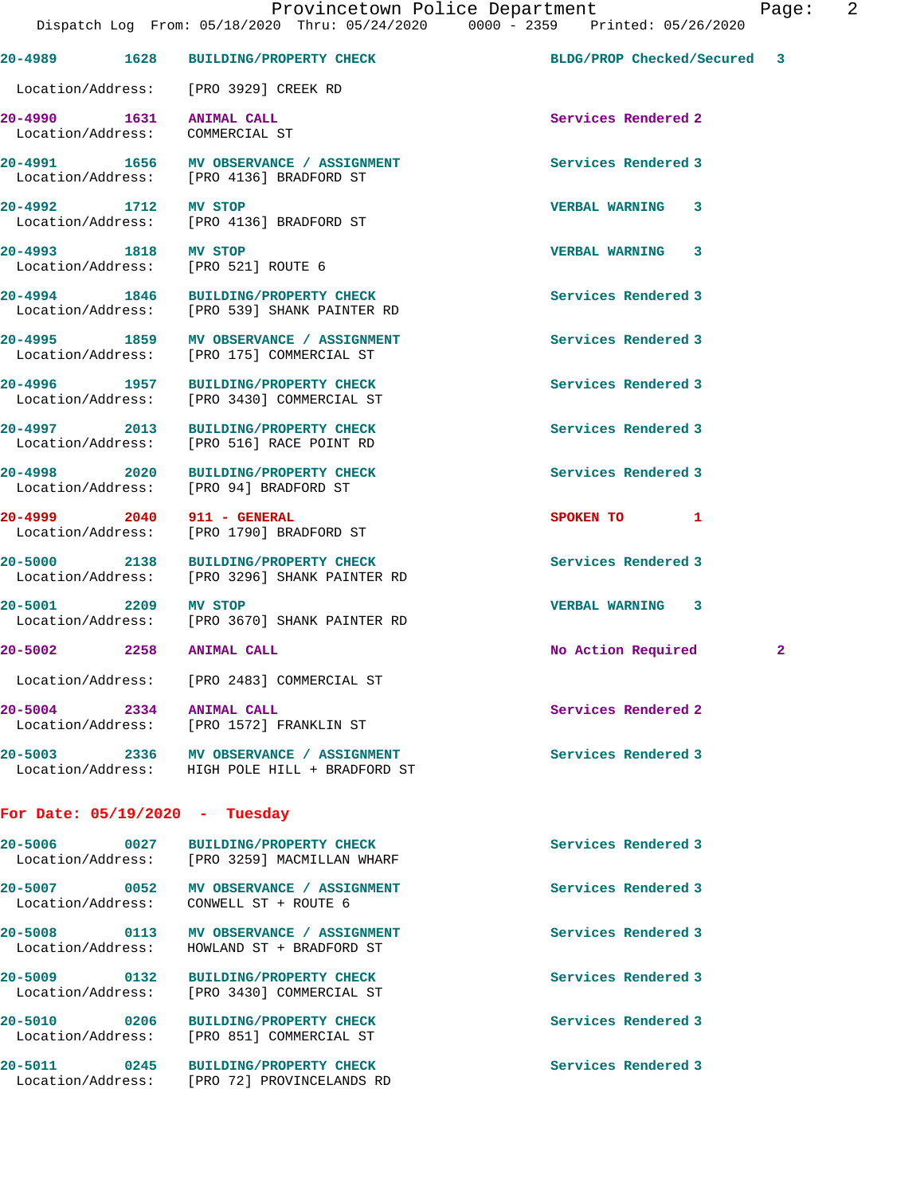| 20-4989 1628                                        | <b>BUILDING/PROPERTY CHECK</b>                                                            | BLDG/PROP Checked/Secured 3 |   |
|-----------------------------------------------------|-------------------------------------------------------------------------------------------|-----------------------------|---|
| Location/Address: [PRO 3929] CREEK RD               |                                                                                           |                             |   |
| 20-4990 1631<br>Location/Address:                   | <b>ANIMAL CALL</b><br>COMMERCIAL ST                                                       | Services Rendered 2         |   |
|                                                     | 20-4991 1656 MV OBSERVANCE / ASSIGNMENT<br>Location/Address: [PRO 4136] BRADFORD ST       | Services Rendered 3         |   |
| 20-4992 1712                                        | MV STOP<br>Location/Address: [PRO 4136] BRADFORD ST                                       | <b>VERBAL WARNING</b><br>3  |   |
| 20-4993 1818<br>Location/Address: [PRO 521] ROUTE 6 | MV STOP                                                                                   | <b>VERBAL WARNING 3</b>     |   |
|                                                     | 20-4994 1846 BUILDING/PROPERTY CHECK<br>Location/Address: [PRO 539] SHANK PAINTER RD      | Services Rendered 3         |   |
|                                                     | 20-4995 1859 MV OBSERVANCE / ASSIGNMENT<br>Location/Address: [PRO 175] COMMERCIAL ST      | Services Rendered 3         |   |
| 20-4996 1957                                        | <b>BUILDING/PROPERTY CHECK</b><br>Location/Address: [PRO 3430] COMMERCIAL ST              | Services Rendered 3         |   |
| 20-4997 2013<br>Location/Address:                   | <b>BUILDING/PROPERTY CHECK</b><br>[PRO 516] RACE POINT RD                                 | Services Rendered 3         |   |
| 20-4998 2020                                        | <b>BUILDING/PROPERTY CHECK</b><br>Location/Address: [PRO 94] BRADFORD ST                  | Services Rendered 3         |   |
| 20-4999 2040 911 - GENERAL                          | Location/Address: [PRO 1790] BRADFORD ST                                                  | SPOKEN TO<br>1              |   |
| 20-5000 2138                                        | <b>BUILDING/PROPERTY CHECK</b><br>Location/Address: [PRO 3296] SHANK PAINTER RD           | Services Rendered 3         |   |
| 20-5001 2209                                        | MV STOP<br>Location/Address: [PRO 3670] SHANK PAINTER RD                                  | VERBAL WARNING 3            |   |
| 20-5002 2258 ANIMAL CALL                            |                                                                                           | No Action Required          | 2 |
|                                                     | Location/Address: [PRO 2483] COMMERCIAL ST                                                |                             |   |
| 20-5004 2334                                        | ANIMAL CALL<br>Location/Address: [PRO 1572] FRANKLIN ST                                   | Services Rendered 2         |   |
|                                                     | 20-5003 2336 MV OBSERVANCE / ASSIGNMENT<br>Location/Address: HIGH POLE HILL + BRADFORD ST | Services Rendered 3         |   |
| For Date: $05/19/2020$ - Tuesday                    |                                                                                           |                             |   |
|                                                     | 20-5006 0027 BUILDING/PROPERTY CHECK<br>Location/Address: [PRO 3259] MACMILLAN WHARF      | Services Rendered 3         |   |
| Location/Address: CONWELL ST + ROUTE 6              | 20-5007 0052 MV OBSERVANCE / ASSIGNMENT                                                   | Services Rendered 3         |   |
|                                                     | 20-5008 0113 MV OBSERVANCE / ASSIGNMENT<br>Location/Address: HOWLAND ST + BRADFORD ST     | Services Rendered 3         |   |
| 20-5009 0132                                        | <b>BUILDING/PROPERTY CHECK</b><br>Location/Address: [PRO 3430] COMMERCIAL ST              | Services Rendered 3         |   |
| 20-5010 0206                                        | <b>BUILDING/PROPERTY CHECK</b><br>Location/Address: [PRO 851] COMMERCIAL ST               | Services Rendered 3         |   |
|                                                     | 20-5011 0245 BUILDING/PROPERTY CHECK<br>Location/Address: [PRO 72] PROVINCELANDS RD       | Services Rendered 3         |   |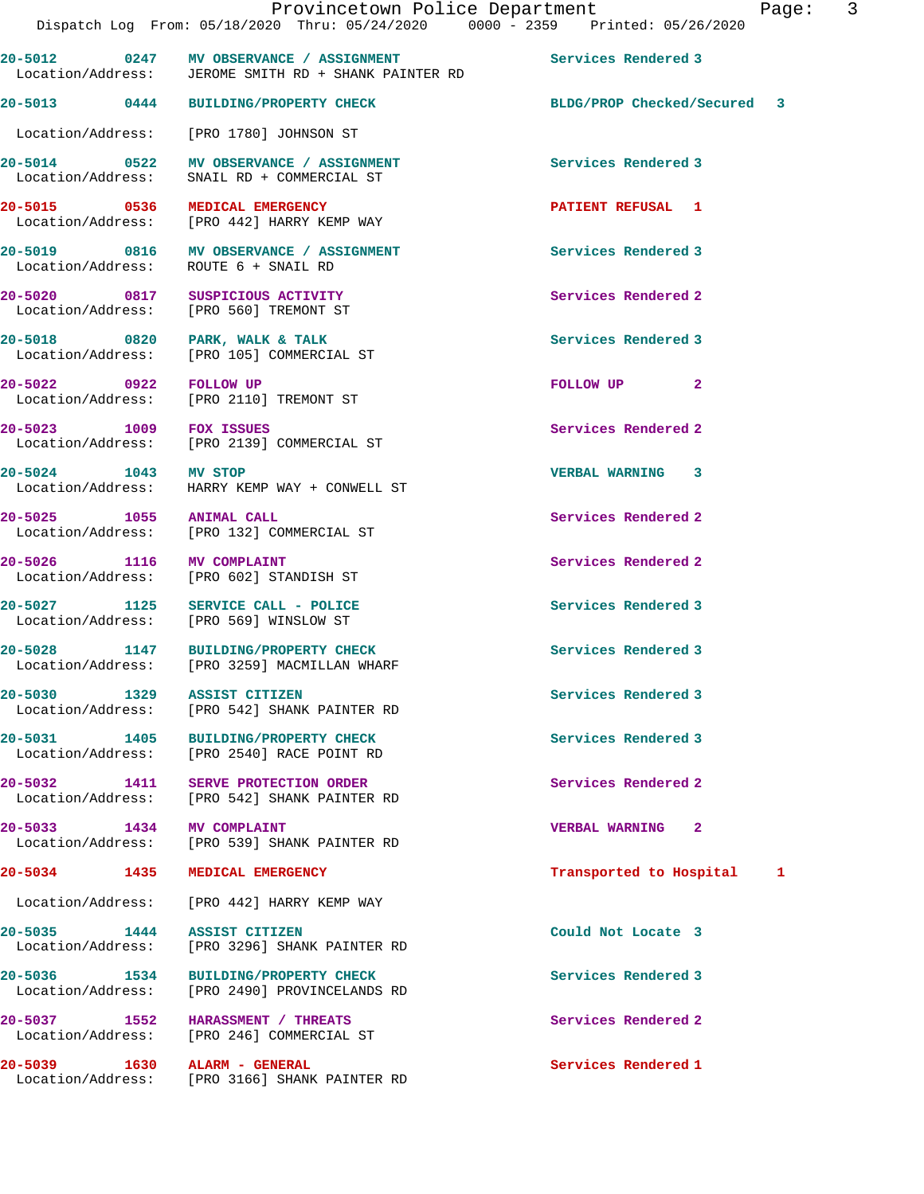|                              | 20-5012 0247 MV OBSERVANCE / ASSIGNMENT<br>Location/Address: JEROME SMITH RD + SHANK PAINTER RD | Services Rendered 3          |
|------------------------------|-------------------------------------------------------------------------------------------------|------------------------------|
|                              | 20-5013 0444 BUILDING/PROPERTY CHECK                                                            | BLDG/PROP Checked/Secured 3  |
|                              | Location/Address: [PRO 1780] JOHNSON ST                                                         |                              |
|                              | 20-5014 0522 MV OBSERVANCE / ASSIGNMENT<br>Location/Address: SNAIL RD + COMMERCIAL ST           | Services Rendered 3          |
|                              | 20-5015 0536 MEDICAL EMERGENCY<br>Location/Address: [PRO 442] HARRY KEMP WAY                    | <b>PATIENT REFUSAL 1</b>     |
|                              | 20-5019 0816 MV OBSERVANCE / ASSIGNMENT<br>Location/Address: ROUTE 6 + SNAIL RD                 | Services Rendered 3          |
|                              | 20-5020 0817 SUSPICIOUS ACTIVITY<br>Location/Address: [PRO 560] TREMONT ST                      | Services Rendered 2          |
|                              | 20-5018 0820 PARK, WALK & TALK<br>Location/Address: [PRO 105] COMMERCIAL ST                     | Services Rendered 3          |
| 20-5022 0922 FOLLOW UP       | Location/Address: [PRO 2110] TREMONT ST                                                         | FOLLOW UP <sub>2</sub>       |
| 20-5023 1009 FOX ISSUES      | Location/Address: [PRO 2139] COMMERCIAL ST                                                      | Services Rendered 2          |
| 20-5024 1043 MV STOP         | Location/Address: HARRY KEMP WAY + CONWELL ST                                                   | VERBAL WARNING 3             |
| 20-5025 1055 ANIMAL CALL     | Location/Address: [PRO 132] COMMERCIAL ST                                                       | Services Rendered 2          |
| 20-5026 1116 MV COMPLAINT    | Location/Address: [PRO 602] STANDISH ST                                                         | Services Rendered 2          |
|                              | 20-5027 1125 SERVICE CALL - POLICE<br>Location/Address: [PRO 569] WINSLOW ST                    | Services Rendered 3          |
|                              | 20-5028 1147 BUILDING/PROPERTY CHECK<br>Location/Address: [PRO 3259] MACMILLAN WHARF            | Services Rendered 3          |
| 20-5030 1329 ASSIST CITIZEN  | Location/Address: [PRO 542] SHANK PAINTER RD                                                    | Services Rendered 3          |
| 20-5031 1405                 | <b>BUILDING/PROPERTY CHECK</b><br>Location/Address: [PRO 2540] RACE POINT RD                    | Services Rendered 3          |
|                              | 20-5032 1411 SERVE PROTECTION ORDER<br>Location/Address: [PRO 542] SHANK PAINTER RD             | Services Rendered 2          |
| 20-5033 1434 MV COMPLAINT    | Location/Address: [PRO 539] SHANK PAINTER RD                                                    | <b>VERBAL WARNING 2</b>      |
|                              | 20-5034 1435 MEDICAL EMERGENCY                                                                  | Transported to Hospital<br>1 |
|                              | Location/Address: [PRO 442] HARRY KEMP WAY                                                      |                              |
| 20-5035 1444 ASSIST CITIZEN  | Location/Address: [PRO 3296] SHANK PAINTER RD                                                   | Could Not Locate 3           |
|                              | 20-5036 1534 BUILDING/PROPERTY CHECK<br>Location/Address: [PRO 2490] PROVINCELANDS RD           | Services Rendered 3          |
|                              | 20-5037 1552 HARASSMENT / THREATS<br>Location/Address: [PRO 246] COMMERCIAL ST                  | Services Rendered 2          |
| 20-5039 1630 ALARM - GENERAL | Location/Address: [PRO 3166] SHANK PAINTER RD                                                   | Services Rendered 1          |
|                              |                                                                                                 |                              |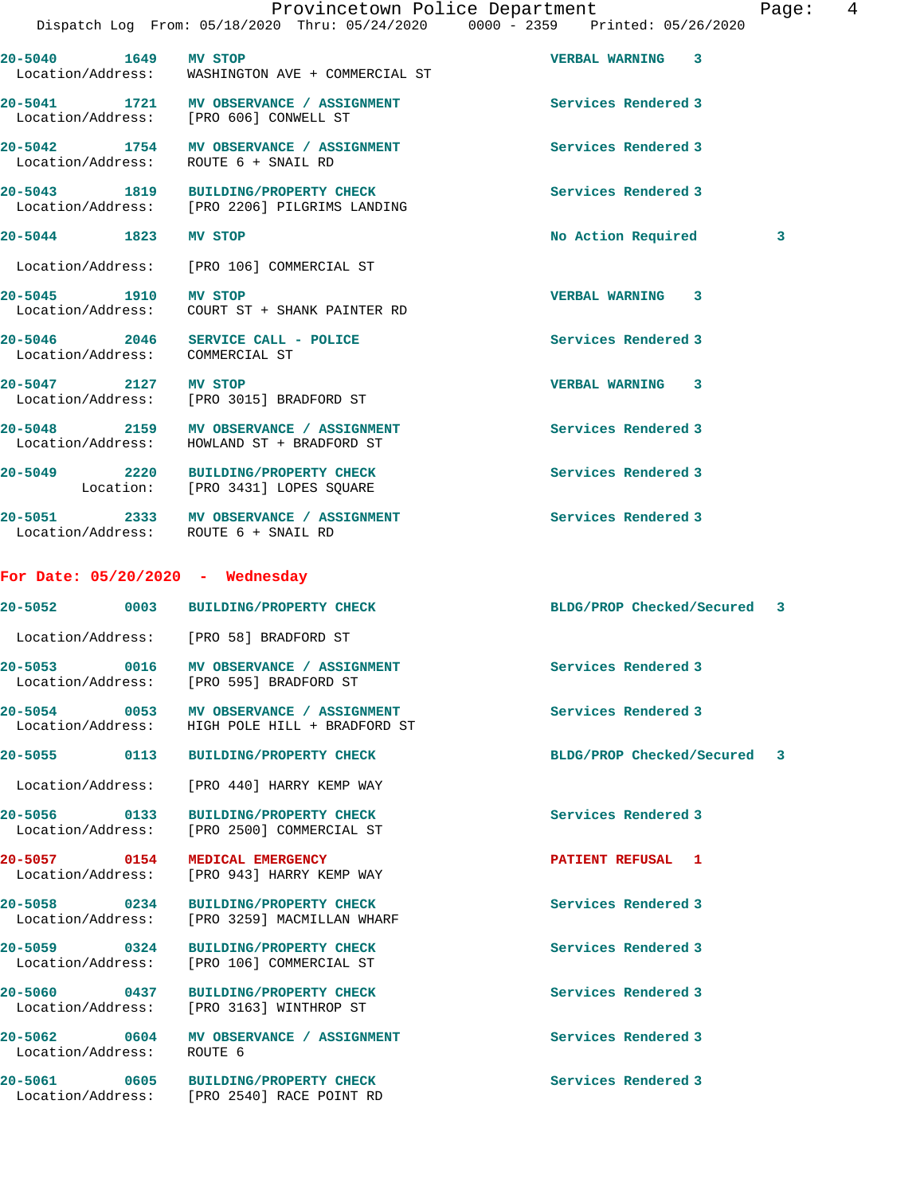**20-5042 1754 MV OBSERVANCE / ASSIGNMENT Services Rendered 3**  Location/Address: ROUTE 6 + SNAIL RD

**20-5043 1819 BUILDING/PROPERTY CHECK Services Rendered 3**  Location/Address: [PRO 2206] PILGRIMS LANDING

20-5044 1823 MV STOP 1200 1200 No Action Required 3

Location/Address: [PRO 106] COMMERCIAL ST

**20-5045 1910 MV STOP VERBAL WARNING 3**  Location/Address: COURT ST + SHANK PAINTER RD

**20-5046 2046 SERVICE CALL - POLICE Services Rendered 3**  Location/Address: COMMERCIAL ST

**20-5047 2127 MV STOP VERBAL WARNING 3**  Location/Address: [PRO 3015] BRADFORD ST

20-5048 2159 MV OBSERVANCE / ASSIGNMENT **Services Rendered 3** Location/Address: HOWLAND ST + BRADFORD ST

**20-5049 2220 BUILDING/PROPERTY CHECK Services Rendered 3**  Location: [PRO 3431] LOPES SQUARE

20-5051 2333 MV OBSERVANCE / ASSIGNMENT **Services Rendered 3** Location/Address: ROUTE 6 + SNAIL RD

## **For Date: 05/20/2020 - Wednesday**

|                           | 20-5052 0003 BUILDING/PROPERTY CHECK                                                      | BLDG/PROP Checked/Secured 3 |
|---------------------------|-------------------------------------------------------------------------------------------|-----------------------------|
|                           | Location/Address: [PRO 58] BRADFORD ST                                                    |                             |
|                           | 20-5053 0016 MV OBSERVANCE / ASSIGNMENT<br>Location/Address: [PRO 595] BRADFORD ST        | Services Rendered 3         |
|                           | 20-5054 0053 MV OBSERVANCE / ASSIGNMENT<br>Location/Address: HIGH POLE HILL + BRADFORD ST | Services Rendered 3         |
|                           | 20-5055 0113 BUILDING/PROPERTY CHECK                                                      | BLDG/PROP Checked/Secured 3 |
|                           | Location/Address: [PRO 440] HARRY KEMP WAY                                                |                             |
|                           | 20-5056 0133 BUILDING/PROPERTY CHECK<br>Location/Address: [PRO 2500] COMMERCIAL ST        | Services Rendered 3         |
|                           | 20-5057 0154 MEDICAL EMERGENCY<br>Location/Address: [PRO 943] HARRY KEMP WAY              | PATIENT REFUSAL 1           |
|                           | 20-5058 0234 BUILDING/PROPERTY CHECK<br>Location/Address: [PRO 3259] MACMILLAN WHARF      | Services Rendered 3         |
|                           | 20-5059 0324 BUILDING/PROPERTY CHECK<br>Location/Address: [PRO 106] COMMERCIAL ST         | Services Rendered 3         |
|                           | 20-5060 0437 BUILDING/PROPERTY CHECK<br>Location/Address: [PRO 3163] WINTHROP ST          | Services Rendered 3         |
| Location/Address: ROUTE 6 | 20-5062 0604 MV OBSERVANCE / ASSIGNMENT                                                   | Services Rendered 3         |
|                           |                                                                                           |                             |

**20-5061 0605 BUILDING/PROPERTY CHECK Services Rendered 3**  Location/Address: [PRO 2540] RACE POINT RD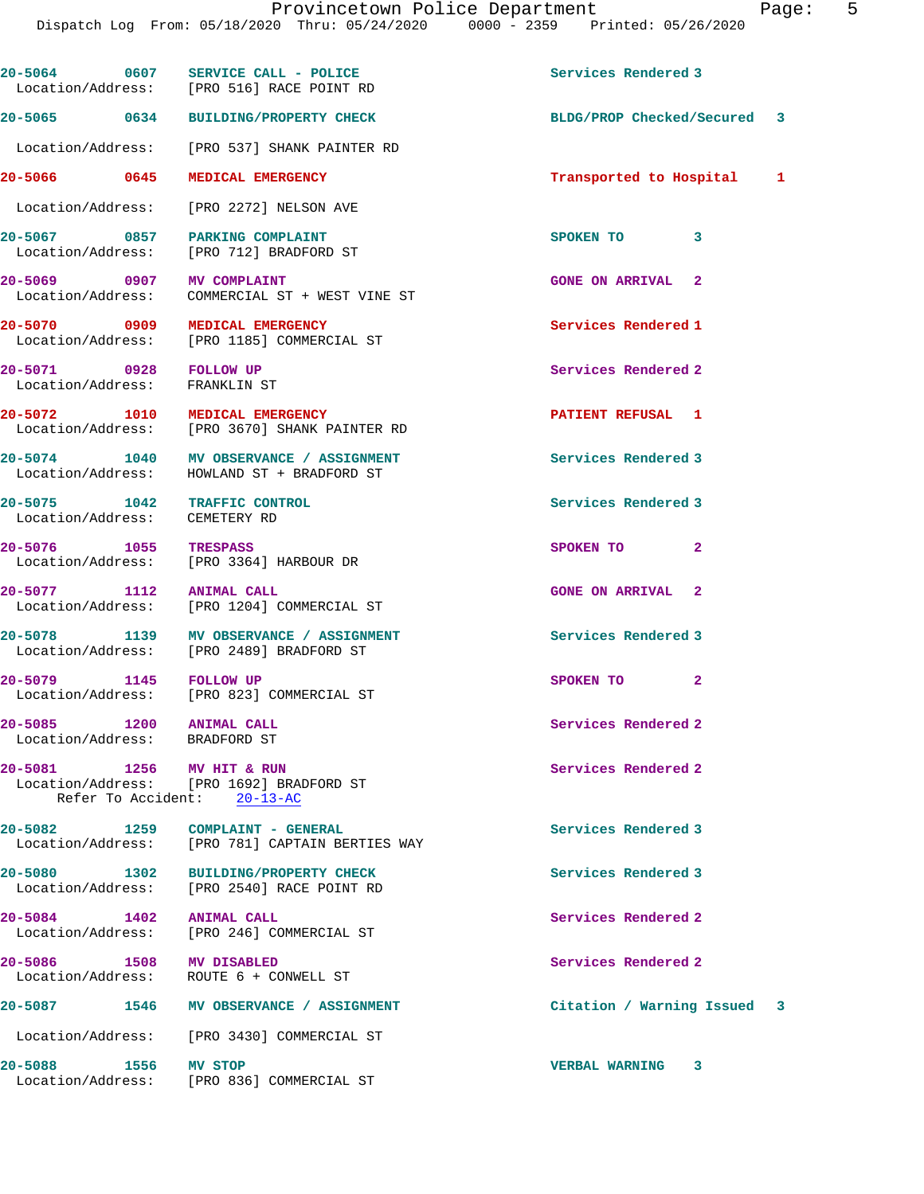|                                                         | 20-5064 0607 SERVICE CALL - POLICE<br>Location/Address: [PRO 516] RACE POINT RD       | Services Rendered 3         |
|---------------------------------------------------------|---------------------------------------------------------------------------------------|-----------------------------|
|                                                         | 20-5065 0634 BUILDING/PROPERTY CHECK                                                  | BLDG/PROP Checked/Secured 3 |
|                                                         | Location/Address: [PRO 537] SHANK PAINTER RD                                          |                             |
| 20-5066 0645                                            | MEDICAL EMERGENCY                                                                     | Transported to Hospital 1   |
|                                                         | Location/Address: [PRO 2272] NELSON AVE                                               |                             |
|                                                         | 20-5067 0857 PARKING COMPLAINT<br>Location/Address: [PRO 712] BRADFORD ST             | SPOKEN TO<br>3              |
| 20-5069 0907 MV COMPLAINT<br>Location/Address:          | COMMERCIAL ST + WEST VINE ST                                                          | <b>GONE ON ARRIVAL 2</b>    |
|                                                         | 20-5070 0909 MEDICAL EMERGENCY<br>Location/Address: [PRO 1185] COMMERCIAL ST          | Services Rendered 1         |
| 20-5071 0928 FOLLOW UP<br>Location/Address: FRANKLIN ST |                                                                                       | Services Rendered 2         |
|                                                         | 20-5072 1010 MEDICAL EMERGENCY<br>Location/Address: [PRO 3670] SHANK PAINTER RD       | <b>PATIENT REFUSAL 1</b>    |
|                                                         | 20-5074 1040 MV OBSERVANCE / ASSIGNMENT<br>Location/Address: HOWLAND ST + BRADFORD ST | Services Rendered 3         |
| 20-5075 1042<br>Location/Address: CEMETERY RD           | TRAFFIC CONTROL                                                                       | Services Rendered 3         |
| 20-5076 1055                                            | TRESPASS<br>Location/Address: [PRO 3364] HARBOUR DR                                   | $\overline{2}$<br>SPOKEN TO |
| 20-5077 1112 ANIMAL CALL                                | Location/Address: [PRO 1204] COMMERCIAL ST                                            | <b>GONE ON ARRIVAL 2</b>    |
|                                                         | 20-5078 1139 MV OBSERVANCE / ASSIGNMENT<br>Location/Address: [PRO 2489] BRADFORD ST   | Services Rendered 3         |
| 20-5079 1145 FOLLOW UP                                  | Location/Address: [PRO 823] COMMERCIAL ST                                             | SPOKEN TO 2                 |
| 20-5085<br>1200<br>Location/Address: BRADFORD ST        | <b>ANIMAL CALL</b>                                                                    | Services Rendered 2         |
| 20-5081 1256 MV HIT & RUN                               | Location/Address: [PRO 1692] BRADFORD ST<br>Refer To Accident: 20-13-AC               | Services Rendered 2         |
|                                                         | 20-5082 1259 COMPLAINT - GENERAL<br>Location/Address: [PRO 781] CAPTAIN BERTIES WAY   | Services Rendered 3         |
|                                                         | 20-5080 1302 BUILDING/PROPERTY CHECK<br>Location/Address: [PRO 2540] RACE POINT RD    | Services Rendered 3         |
| 20-5084 1402 ANIMAL CALL                                | Location/Address: [PRO 246] COMMERCIAL ST                                             | Services Rendered 2         |
| 20-5086 1508 MV DISABLED                                | Location/Address: ROUTE 6 + CONWELL ST                                                | Services Rendered 2         |
|                                                         | 20-5087 1546 MV OBSERVANCE / ASSIGNMENT                                               | Citation / Warning Issued 3 |
|                                                         | Location/Address: [PRO 3430] COMMERCIAL ST                                            |                             |
| 20-5088 1556 MV STOP                                    | Location/Address: [PRO 836] COMMERCIAL ST                                             | <b>VERBAL WARNING</b><br>3  |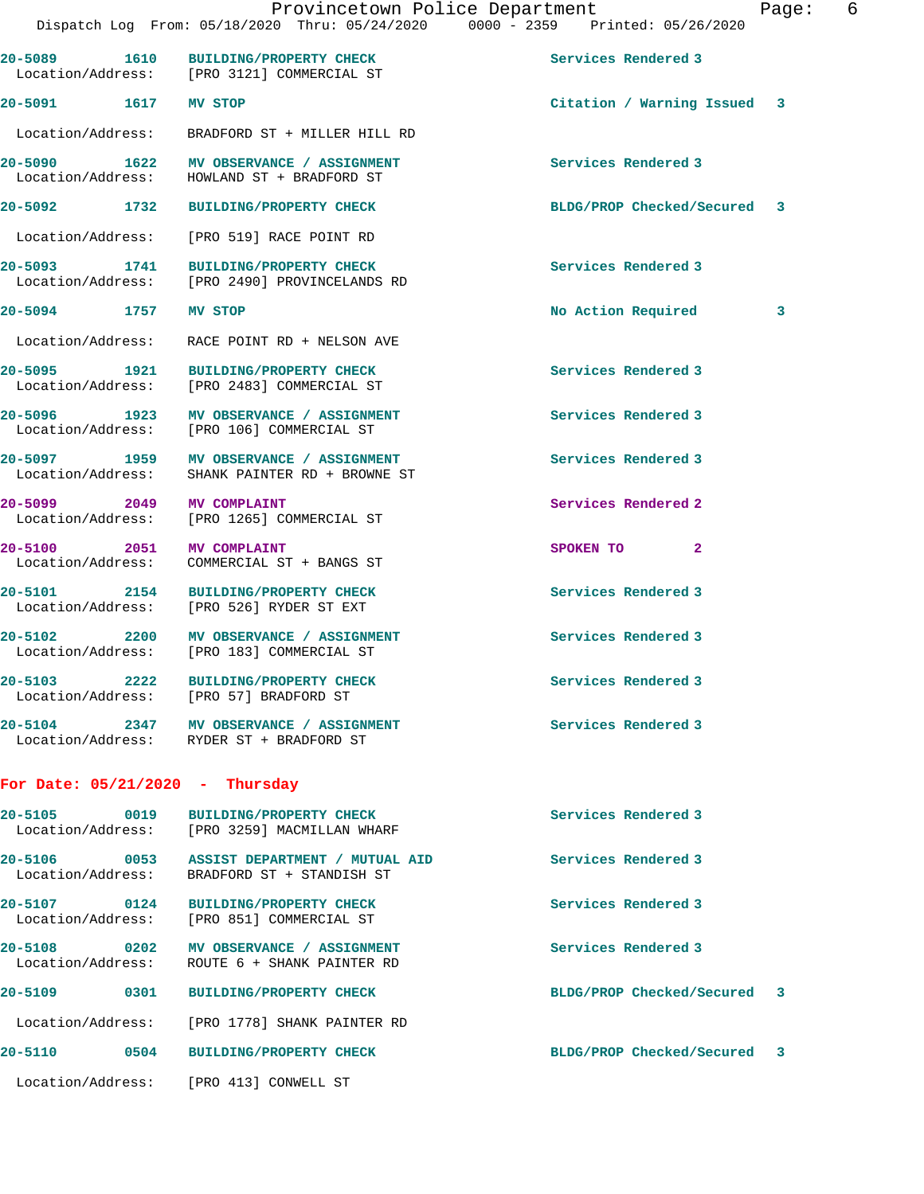|                                   | Dispatch Log From: 05/18/2020 Thru: 05/24/2020 0000 - 2359 Printed: 05/26/2020             | Provincetown Police Department | 6<br>Page: |
|-----------------------------------|--------------------------------------------------------------------------------------------|--------------------------------|------------|
|                                   | 20-5089 1610 BUILDING/PROPERTY CHECK<br>Location/Address: [PRO 3121] COMMERCIAL ST         | Services Rendered 3            |            |
| 20-5091 1617 MV STOP              |                                                                                            | Citation / Warning Issued 3    |            |
|                                   | Location/Address: BRADFORD ST + MILLER HILL RD                                             |                                |            |
|                                   | 20-5090 1622 MV OBSERVANCE / ASSIGNMENT<br>Location/Address: HOWLAND ST + BRADFORD ST      | Services Rendered 3            |            |
|                                   | 20-5092 1732 BUILDING/PROPERTY CHECK                                                       | BLDG/PROP Checked/Secured 3    |            |
|                                   | Location/Address: [PRO 519] RACE POINT RD                                                  |                                |            |
|                                   | 20-5093 1741 BUILDING/PROPERTY CHECK<br>Location/Address: [PRO 2490] PROVINCELANDS RD      | Services Rendered 3            |            |
| 20-5094 1757 MV STOP              |                                                                                            | No Action Required             | 3          |
|                                   | Location/Address: RACE POINT RD + NELSON AVE                                               |                                |            |
|                                   | 20-5095 1921 BUILDING/PROPERTY CHECK<br>Location/Address: [PRO 2483] COMMERCIAL ST         | Services Rendered 3            |            |
|                                   | 20-5096 1923 MV OBSERVANCE / ASSIGNMENT<br>Location/Address: [PRO 106] COMMERCIAL ST       | Services Rendered 3            |            |
|                                   | 20-5097 1959 MV OBSERVANCE / ASSIGNMENT<br>Location/Address: SHANK PAINTER RD + BROWNE ST  | Services Rendered 3            |            |
| 20-5099 2049 MV COMPLAINT         | Location/Address: [PRO 1265] COMMERCIAL ST                                                 | Services Rendered 2            |            |
| 20-5100 2051 MV COMPLAINT         | Location/Address: COMMERCIAL ST + BANGS ST                                                 | SPOKEN TO<br>$\mathbf{2}$      |            |
|                                   | 20-5101 2154 BUILDING/PROPERTY CHECK<br>Location/Address: [PRO 526] RYDER ST EXT           | Services Rendered 3            |            |
|                                   | 20-5102 2200 MV OBSERVANCE / ASSIGNMENT<br>Location/Address: [PRO 183] COMMERCIAL ST       | Services Rendered 3            |            |
|                                   | 20-5103 2222 BUILDING/PROPERTY CHECK<br>Location/Address: [PRO 57] BRADFORD ST             | Services Rendered 3            |            |
|                                   | 20-5104 2347 MV OBSERVANCE / ASSIGNMENT<br>Location/Address: RYDER ST + BRADFORD ST        | Services Rendered 3            |            |
| For Date: $05/21/2020$ - Thursday |                                                                                            |                                |            |
| 20-5105 0019                      | <b>BUILDING/PROPERTY CHECK</b><br>Location/Address: [PRO 3259] MACMILLAN WHARF             | Services Rendered 3            |            |
|                                   | 20-5106 0053 ASSIST DEPARTMENT / MUTUAL AID<br>Location/Address: BRADFORD ST + STANDISH ST | Services Rendered 3            |            |
|                                   | 20-5107 0124 BUILDING/PROPERTY CHECK<br>Location/Address: [PRO 851] COMMERCIAL ST          | Services Rendered 3            |            |
|                                   | 20-5108 0202 MV OBSERVANCE / ASSIGNMENT<br>Location/Address: ROUTE 6 + SHANK PAINTER RD    | Services Rendered 3            |            |
|                                   | 20-5109 0301 BUILDING/PROPERTY CHECK                                                       | BLDG/PROP Checked/Secured      | 3          |
|                                   | Location/Address: [PRO 1778] SHANK PAINTER RD                                              |                                |            |
|                                   | 20-5110 0504 BUILDING/PROPERTY CHECK                                                       | BLDG/PROP Checked/Secured 3    |            |
|                                   | Location/Address: [PRO 413] CONWELL ST                                                     |                                |            |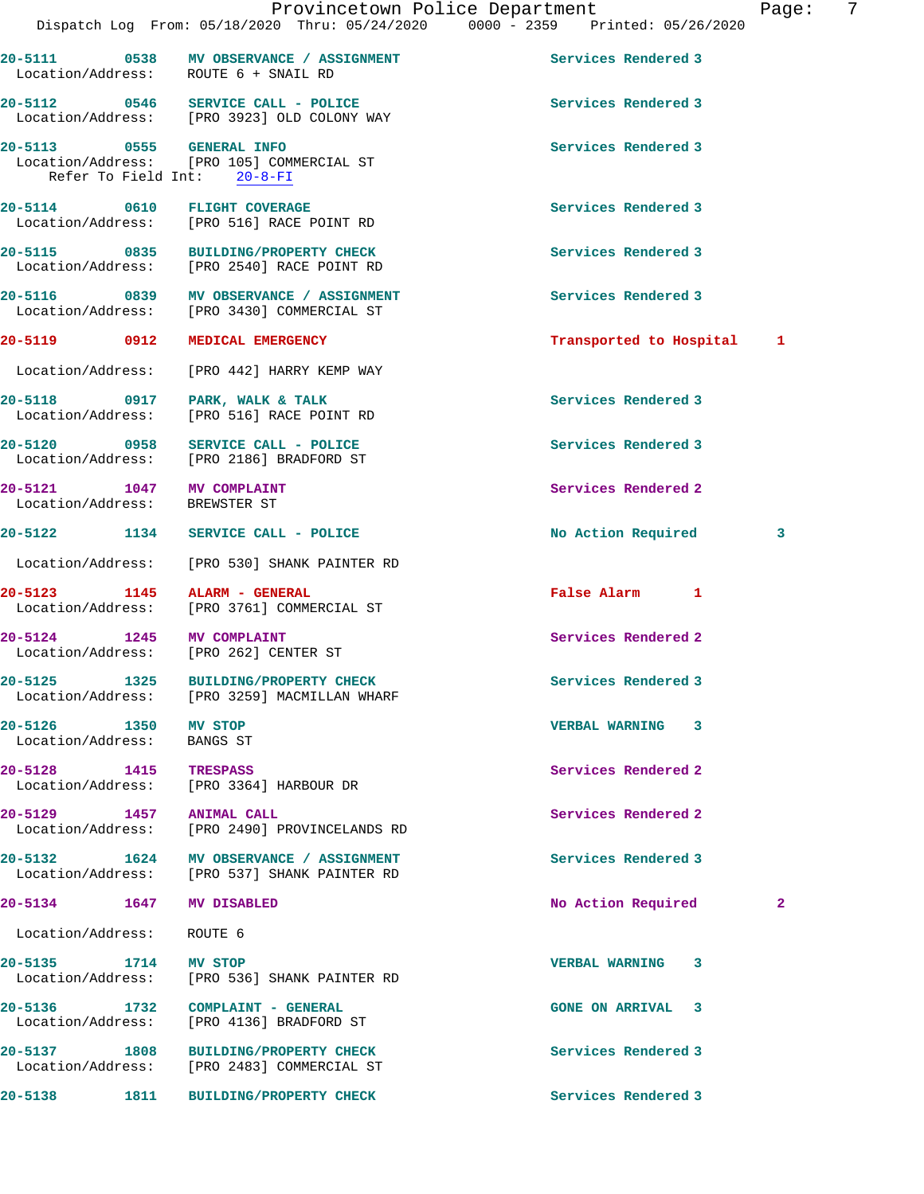|                                                            |                                                                                                       | Provincetown Police Department<br>Dispatch Log From: 05/18/2020 Thru: 05/24/2020 0000 - 2359 Printed: 05/26/2020 | Page:        | -7 |
|------------------------------------------------------------|-------------------------------------------------------------------------------------------------------|------------------------------------------------------------------------------------------------------------------|--------------|----|
|                                                            |                                                                                                       |                                                                                                                  |              |    |
|                                                            | 20-5111 0538 MV OBSERVANCE / ASSIGNMENT<br>Location/Address: ROUTE 6 + SNAIL RD                       | Services Rendered 3                                                                                              |              |    |
|                                                            | 20-5112 0546 SERVICE CALL - POLICE<br>Location/Address: [PRO 3923] OLD COLONY WAY                     | Services Rendered 3                                                                                              |              |    |
|                                                            | 20-5113 0555 GENERAL INFO<br>Location/Address: [PRO 105] COMMERCIAL ST<br>Refer To Field Int: 20-8-FI | Services Rendered 3                                                                                              |              |    |
|                                                            | 20-5114 0610 FLIGHT COVERAGE<br>Location/Address: [PRO 516] RACE POINT RD                             | Services Rendered 3                                                                                              |              |    |
|                                                            | 20-5115 0835 BUILDING/PROPERTY CHECK<br>Location/Address: [PRO 2540] RACE POINT RD                    | Services Rendered 3                                                                                              |              |    |
|                                                            | 20-5116 0839 MV OBSERVANCE / ASSIGNMENT<br>Location/Address: [PRO 3430] COMMERCIAL ST                 | Services Rendered 3                                                                                              |              |    |
|                                                            | 20-5119 0912 MEDICAL EMERGENCY                                                                        | Transported to Hospital 1                                                                                        |              |    |
|                                                            | Location/Address: [PRO 442] HARRY KEMP WAY                                                            |                                                                                                                  |              |    |
|                                                            | 20-5118 0917 PARK, WALK & TALK<br>Location/Address: [PRO 516] RACE POINT RD                           | Services Rendered 3                                                                                              |              |    |
|                                                            | 20-5120 0958 SERVICE CALL - POLICE<br>Location/Address: [PRO 2186] BRADFORD ST                        | Services Rendered 3                                                                                              |              |    |
| 20-5121 1047 MV COMPLAINT<br>Location/Address: BREWSTER ST |                                                                                                       | Services Rendered 2                                                                                              |              |    |
|                                                            | 20-5122 1134 SERVICE CALL - POLICE                                                                    | No Action Required                                                                                               | 3            |    |
|                                                            | Location/Address: [PRO 530] SHANK PAINTER RD                                                          |                                                                                                                  |              |    |
| 20-5123 1145 ALARM - GENERAL                               | Location/Address: [PRO 3761] COMMERCIAL ST                                                            | False Alarm 1                                                                                                    |              |    |
| 20-5124 1245 MV COMPLAINT                                  | Location/Address: [PRO 262] CENTER ST                                                                 | Services Rendered 2                                                                                              |              |    |
|                                                            | 20-5125 1325 BUILDING/PROPERTY CHECK<br>Location/Address: [PRO 3259] MACMILLAN WHARF                  | Services Rendered 3                                                                                              |              |    |
| 20-5126 1350 MV STOP<br>Location/Address: BANGS ST         |                                                                                                       | VERBAL WARNING 3                                                                                                 |              |    |
| 20-5128 1415 TRESPASS                                      | Location/Address: [PRO 3364] HARBOUR DR                                                               | Services Rendered 2                                                                                              |              |    |
| 20-5129 1457 ANIMAL CALL                                   | Location/Address: [PRO 2490] PROVINCELANDS RD                                                         | Services Rendered 2                                                                                              |              |    |
|                                                            | 20-5132 1624 MV OBSERVANCE / ASSIGNMENT<br>Location/Address: [PRO 537] SHANK PAINTER RD               | Services Rendered 3                                                                                              |              |    |
| 20-5134 1647 MV DISABLED                                   |                                                                                                       | No Action Required                                                                                               | $\mathbf{2}$ |    |
| Location/Address:                                          | ROUTE 6                                                                                               |                                                                                                                  |              |    |
| 20-5135 1714 MV STOP                                       | Location/Address: [PRO 536] SHANK PAINTER RD                                                          | VERBAL WARNING 3                                                                                                 |              |    |
|                                                            | 20-5136 1732 COMPLAINT - GENERAL<br>Location/Address: [PRO 4136] BRADFORD ST                          | <b>GONE ON ARRIVAL 3</b>                                                                                         |              |    |
|                                                            | 20-5137 1808 BUILDING/PROPERTY CHECK<br>Location/Address: [PRO 2483] COMMERCIAL ST                    | Services Rendered 3                                                                                              |              |    |
| $20 - 5138$                                                | 1811 BUILDING/PROPERTY CHECK                                                                          | Services Rendered 3                                                                                              |              |    |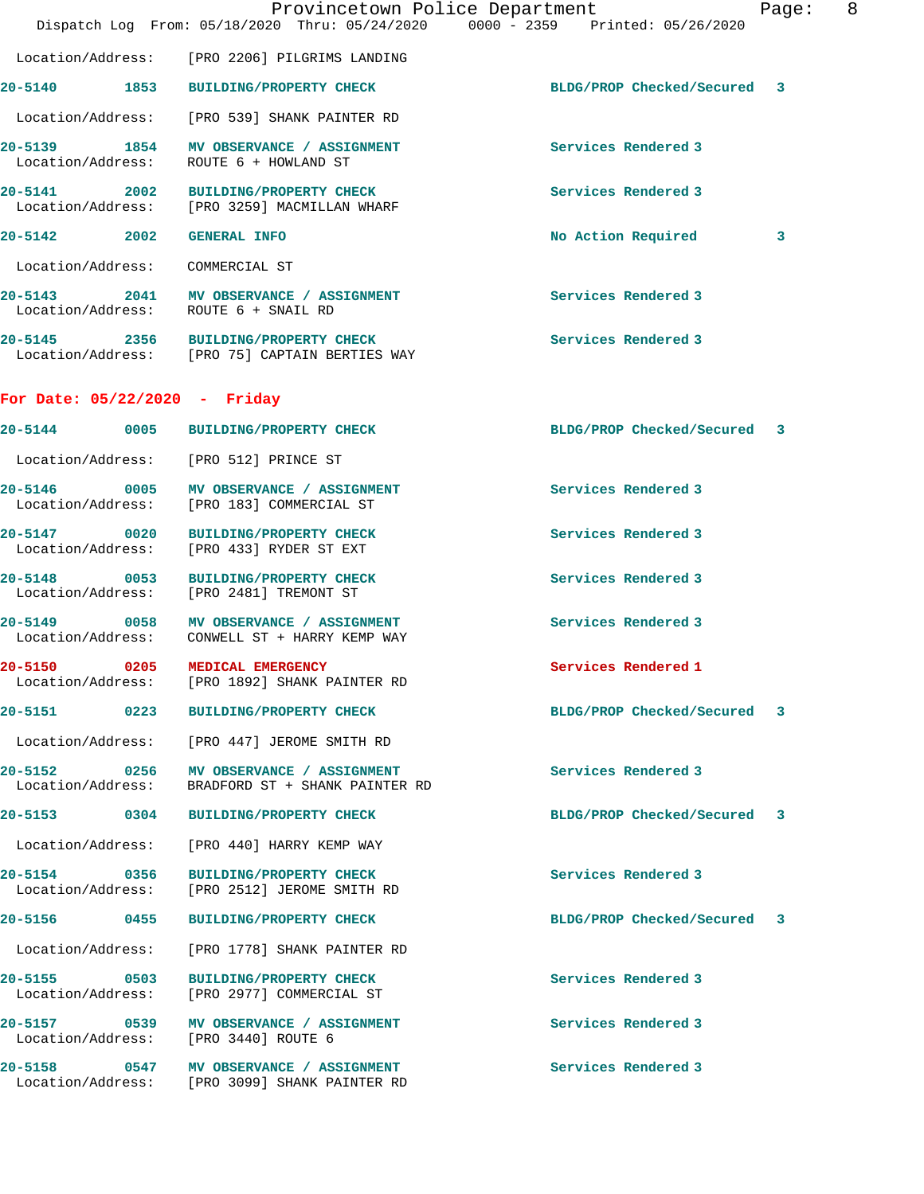|                                       |                                                                                             | Provincetown Police Department<br>Dispatch Log From: 05/18/2020 Thru: 05/24/2020 0000 - 2359 Printed: 05/26/2020 | Page: | 8 |
|---------------------------------------|---------------------------------------------------------------------------------------------|------------------------------------------------------------------------------------------------------------------|-------|---|
|                                       | Location/Address: [PRO 2206] PILGRIMS LANDING                                               |                                                                                                                  |       |   |
|                                       | 20-5140 1853 BUILDING/PROPERTY CHECK                                                        | BLDG/PROP Checked/Secured 3                                                                                      |       |   |
|                                       | Location/Address: [PRO 539] SHANK PAINTER RD                                                |                                                                                                                  |       |   |
|                                       | 20-5139 1854 MV OBSERVANCE / ASSIGNMENT<br>Location/Address: ROUTE 6 + HOWLAND ST           | Services Rendered 3                                                                                              |       |   |
|                                       | 20-5141 2002 BUILDING/PROPERTY CHECK<br>Location/Address: [PRO 3259] MACMILLAN WHARF        | Services Rendered 3                                                                                              |       |   |
| 20-5142 2002                          | <b>GENERAL INFO</b>                                                                         | No Action Required                                                                                               | 3     |   |
| Location/Address:                     | COMMERCIAL ST                                                                               |                                                                                                                  |       |   |
| Location/Address: ROUTE 6 + SNAIL RD  | 20-5143 2041 MV OBSERVANCE / ASSIGNMENT                                                     | Services Rendered 3                                                                                              |       |   |
|                                       | 20-5145 2356 BUILDING/PROPERTY CHECK<br>Location/Address: [PRO 75] CAPTAIN BERTIES WAY      | Services Rendered 3                                                                                              |       |   |
| For Date: $05/22/2020 -$ Friday       |                                                                                             |                                                                                                                  |       |   |
|                                       | 20-5144 0005 BUILDING/PROPERTY CHECK                                                        | BLDG/PROP Checked/Secured 3                                                                                      |       |   |
| Location/Address: [PRO 512] PRINCE ST |                                                                                             |                                                                                                                  |       |   |
|                                       | 20-5146 0005 MV OBSERVANCE / ASSIGNMENT<br>Location/Address: [PRO 183] COMMERCIAL ST        | Services Rendered 3                                                                                              |       |   |
| 20-5147 0020<br>Location/Address:     | <b>BUILDING/PROPERTY CHECK</b><br>[PRO 433] RYDER ST EXT                                    | Services Rendered 3                                                                                              |       |   |
| $20 - 5148$                           | 0053 BUILDING/PROPERTY CHECK<br>Location/Address: [PRO 2481] TREMONT ST                     | Services Rendered 3                                                                                              |       |   |
|                                       | 20-5149 0058 MV OBSERVANCE / ASSIGNMENT<br>Location/Address: CONWELL ST + HARRY KEMP WAY    | Services Rendered 3                                                                                              |       |   |
| $20 - 5150$<br>Location/Address:      | 0205 MEDICAL EMERGENCY<br>[PRO 1892] SHANK PAINTER RD                                       | Services Rendered 1                                                                                              |       |   |
|                                       | 20-5151 0223 BUILDING/PROPERTY CHECK                                                        | BLDG/PROP Checked/Secured 3                                                                                      |       |   |
|                                       | Location/Address: [PRO 447] JEROME SMITH RD                                                 |                                                                                                                  |       |   |
|                                       | 20-5152 0256 MV OBSERVANCE / ASSIGNMENT<br>Location/Address: BRADFORD ST + SHANK PAINTER RD | Services Rendered 3                                                                                              |       |   |
|                                       | 20-5153 0304 BUILDING/PROPERTY CHECK                                                        | BLDG/PROP Checked/Secured 3                                                                                      |       |   |
|                                       | Location/Address: [PRO 440] HARRY KEMP WAY                                                  |                                                                                                                  |       |   |
|                                       | 20-5154 0356 BUILDING/PROPERTY CHECK<br>Location/Address: [PRO 2512] JEROME SMITH RD        | Services Rendered 3                                                                                              |       |   |
|                                       | 20-5156 0455 BUILDING/PROPERTY CHECK                                                        | BLDG/PROP Checked/Secured 3                                                                                      |       |   |
| Location/Address:                     | [PRO 1778] SHANK PAINTER RD                                                                 |                                                                                                                  |       |   |
| 20-5155 0503<br>Location/Address:     | BUILDING/PROPERTY CHECK<br>[PRO 2977] COMMERCIAL ST                                         | Services Rendered 3                                                                                              |       |   |
| Location/Address: [PRO 3440] ROUTE 6  | 20-5157 0539 MV OBSERVANCE / ASSIGNMENT                                                     | Services Rendered 3                                                                                              |       |   |
|                                       | 20-5158 0547 MV OBSERVANCE / ASSIGNMENT<br>Location/Address: [PRO 3099] SHANK PAINTER RD    | Services Rendered 3                                                                                              |       |   |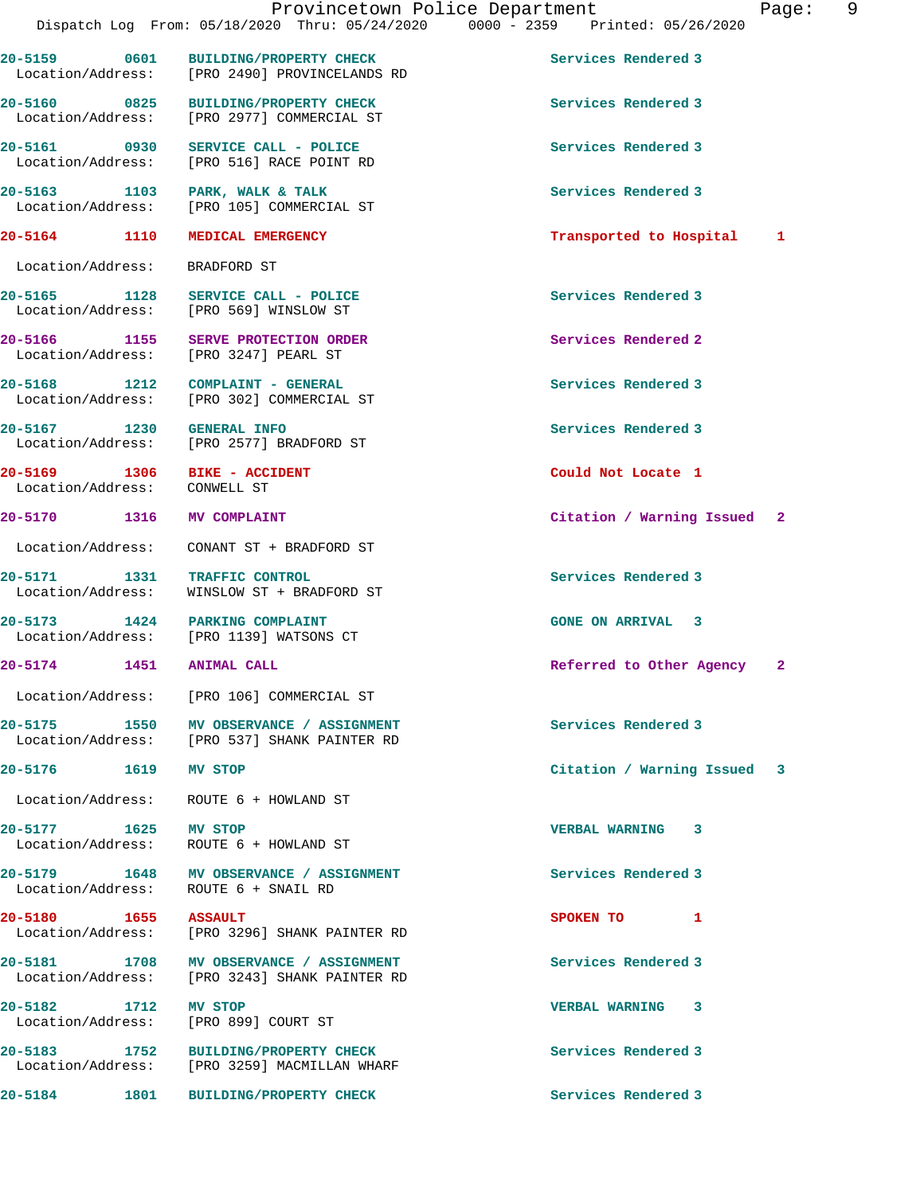| 20-5159           | 0601 | BUILDING/PROPERTY CHECK     | Services Rendered 3 |
|-------------------|------|-----------------------------|---------------------|
| Location/Address: |      | [PRO 2490] PROVINCELANDS RD |                     |

20-5160 0825 BUILDING/PROPERTY CHECK Services Rendered 3<br>
Location/Address: [PRO 2977] COMMERCIAL ST [PRO 2977] COMMERCIAL ST

**20-5161 0930 SERVICE CALL - POLICE Services Rendered 3**  Location/Address: [PRO 516] RACE POINT RD

20-5163 1103 PARK, WALK & TALK **PARK, Services Rendered 3**<br>
Location/Address: [PRO 105] COMMERCIAL ST [PRO 105] COMMERCIAL ST

Location/Address: BRADFORD ST

20-5165 1128 SERVICE CALL - POLICE 10 Services Rendered 3 Location/Address: [PRO 569] WINSLOW ST

**20-5166 1155 SERVE PROTECTION ORDER Services Rendered 2**  Location/Address: [PRO 3247] PEARL ST

**20-5168 1212 COMPLAINT - GENERAL Services Rendered 3**  Location/Address: [PRO 302] COMMERCIAL ST

**20-5167** 1230 GENERAL INFO 1000 Services Rendered 3<br>
Location/Address: [PRO 2577] BRADFORD ST [PRO 2577] BRADFORD ST

Location/Address: CONWELL ST

Location/Address: CONANT ST + BRADFORD ST

**20-5171 1331 TRAFFIC CONTROL Services Rendered 3**  Location/Address: WINSLOW ST + BRADFORD ST

**20-5173 1424 PARKING COMPLAINT GONE ON ARRIVAL 3**  [PRO 1139] WATSONS CT

Location/Address: [PRO 106] COMMERCIAL ST

20-5175 1550 MV OBSERVANCE / ASSIGNMENT **1550** Services Rendered 3 Location/Address: [PRO 537] SHANK PAINTER RD

Location/Address: ROUTE 6 + HOWLAND ST

Location/Address: ROUTE 6 + HOWLAND ST

**20-5179 1648 MV OBSERVANCE / ASSIGNMENT Services Rendered 3**  Location/Address: ROUTE 6 + SNAIL RD

**20-5180 1655 ASSAULT SPOKEN TO 1**  Location/Address: [PRO 3296] SHANK PAINTER RD

20-5181 1708 MV OBSERVANCE / ASSIGNMENT **1708** Services Rendered 3<br>
Location/Address: [PRO 3243] SHANK PAINTER RD [PRO 3243] SHANK PAINTER RD

**20-5182 1712 MV STOP VERBAL WARNING 3**  Location/Address: [PRO 899] COURT ST

**20-5183 1752 BUILDING/PROPERTY CHECK Services Rendered 3**  Location/Address: [PRO 3259] MACMILLAN WHARF

**20-5184 1801 BUILDING/PROPERTY CHECK Services Rendered 3** 

**20-5164 1110 MEDICAL EMERGENCY Transported to Hospital 1**

**20-5169 1306 BIKE - ACCIDENT Could Not Locate 1** 

**20-5170 1316 MV COMPLAINT Citation / Warning Issued 2**

**20-5174 1451 ANIMAL CALL Referred to Other Agency 2**

**20-5176 1619 MV STOP Citation / Warning Issued 3**

**20-5177 1625 MV STOP VERBAL WARNING 3**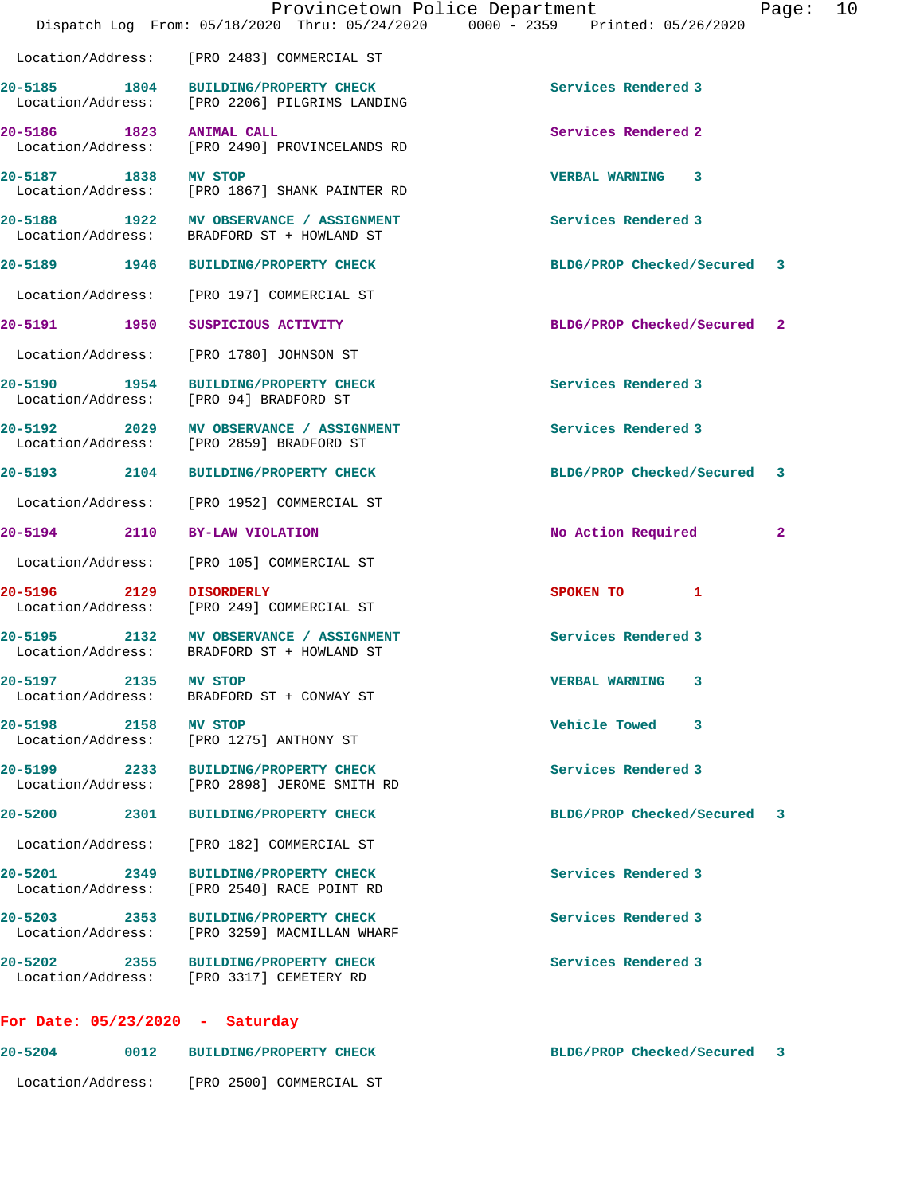|                                   |      | Provincetown Police Department                                                        |                             | Page: | 10 |
|-----------------------------------|------|---------------------------------------------------------------------------------------|-----------------------------|-------|----|
|                                   |      | Dispatch Log From: 05/18/2020 Thru: 05/24/2020 0000 - 2359 Printed: 05/26/2020        |                             |       |    |
| Location/Address:                 |      | [PRO 2483] COMMERCIAL ST                                                              |                             |       |    |
| 20-5185 1804                      |      | BUILDING/PROPERTY CHECK<br>Location/Address: [PRO 2206] PILGRIMS LANDING              | Services Rendered 3         |       |    |
| 20-5186 1823                      |      | <b>ANIMAL CALL</b><br>Location/Address: [PRO 2490] PROVINCELANDS RD                   | Services Rendered 2         |       |    |
| 20-5187 1838                      |      | MV STOP<br>Location/Address: [PRO 1867] SHANK PAINTER RD                              | VERBAL WARNING 3            |       |    |
|                                   |      | 20-5188 1922 MV OBSERVANCE / ASSIGNMENT<br>Location/Address: BRADFORD ST + HOWLAND ST | Services Rendered 3         |       |    |
| 20-5189 1946                      |      | <b>BUILDING/PROPERTY CHECK</b>                                                        | BLDG/PROP Checked/Secured   | 3     |    |
| Location/Address:                 |      | [PRO 197] COMMERCIAL ST                                                               |                             |       |    |
| 20-5191 1950                      |      | SUSPICIOUS ACTIVITY                                                                   | BLDG/PROP Checked/Secured 2 |       |    |
| Location/Address:                 |      | [PRO 1780] JOHNSON ST                                                                 |                             |       |    |
|                                   |      | 20-5190 1954 BUILDING/PROPERTY CHECK<br>Location/Address: [PRO 94] BRADFORD ST        | Services Rendered 3         |       |    |
| 20-5192 2029<br>Location/Address: |      | MV OBSERVANCE / ASSIGNMENT<br>[PRO 2859] BRADFORD ST                                  | Services Rendered 3         |       |    |
| 20-5193 2104                      |      | <b>BUILDING/PROPERTY CHECK</b>                                                        | BLDG/PROP Checked/Secured   | 3     |    |
| Location/Address:                 |      | [PRO 1952] COMMERCIAL ST                                                              |                             |       |    |
| 20-5194 2110                      |      | BY-LAW VIOLATION                                                                      | No Action Required          | 2     |    |
| Location/Address:                 |      | [PRO 105] COMMERCIAL ST                                                               |                             |       |    |
| 20-5196 2129                      |      | <b>DISORDERLY</b><br>Location/Address: [PRO 249] COMMERCIAL ST                        | SPOKEN TO<br>1              |       |    |
|                                   |      | 20-5195 2132 MV OBSERVANCE / ASSIGNMENT<br>Location/Address: BRADFORD ST + HOWLAND ST | Services Rendered 3         |       |    |
| 20-5197 2135<br>Location/Address: |      | MV STOP<br>BRADFORD ST + CONWAY ST                                                    | <b>VERBAL WARNING</b>       |       |    |
| 20-5198 2158                      |      | MV STOP<br>Location/Address: [PRO 1275] ANTHONY ST                                    | Vehicle Towed 3             |       |    |
|                                   |      | 20-5199 2233 BUILDING/PROPERTY CHECK<br>Location/Address: [PRO 2898] JEROME SMITH RD  | Services Rendered 3         |       |    |
| 20-5200 2301                      |      | <b>BUILDING/PROPERTY CHECK</b>                                                        | BLDG/PROP Checked/Secured 3 |       |    |
| Location/Address:                 |      | [PRO 182] COMMERCIAL ST                                                               |                             |       |    |
| 20-5201 2349<br>Location/Address: |      | <b>BUILDING/PROPERTY CHECK</b><br>[PRO 2540] RACE POINT RD                            | Services Rendered 3         |       |    |
| 20-5203 2353<br>Location/Address: |      | <b>BUILDING/PROPERTY CHECK</b><br>[PRO 3259] MACMILLAN WHARF                          | Services Rendered 3         |       |    |
|                                   |      | 20-5202 2355 BUILDING/PROPERTY CHECK<br>Location/Address: [PRO 3317] CEMETERY RD      | Services Rendered 3         |       |    |
| For Date: $05/23/2020 - Saturday$ |      |                                                                                       |                             |       |    |
| 20-5204                           | 0012 | <b>BUILDING/PROPERTY CHECK</b>                                                        | BLDG/PROP Checked/Secured   | 3     |    |

Location/Address: [PRO 2500] COMMERCIAL ST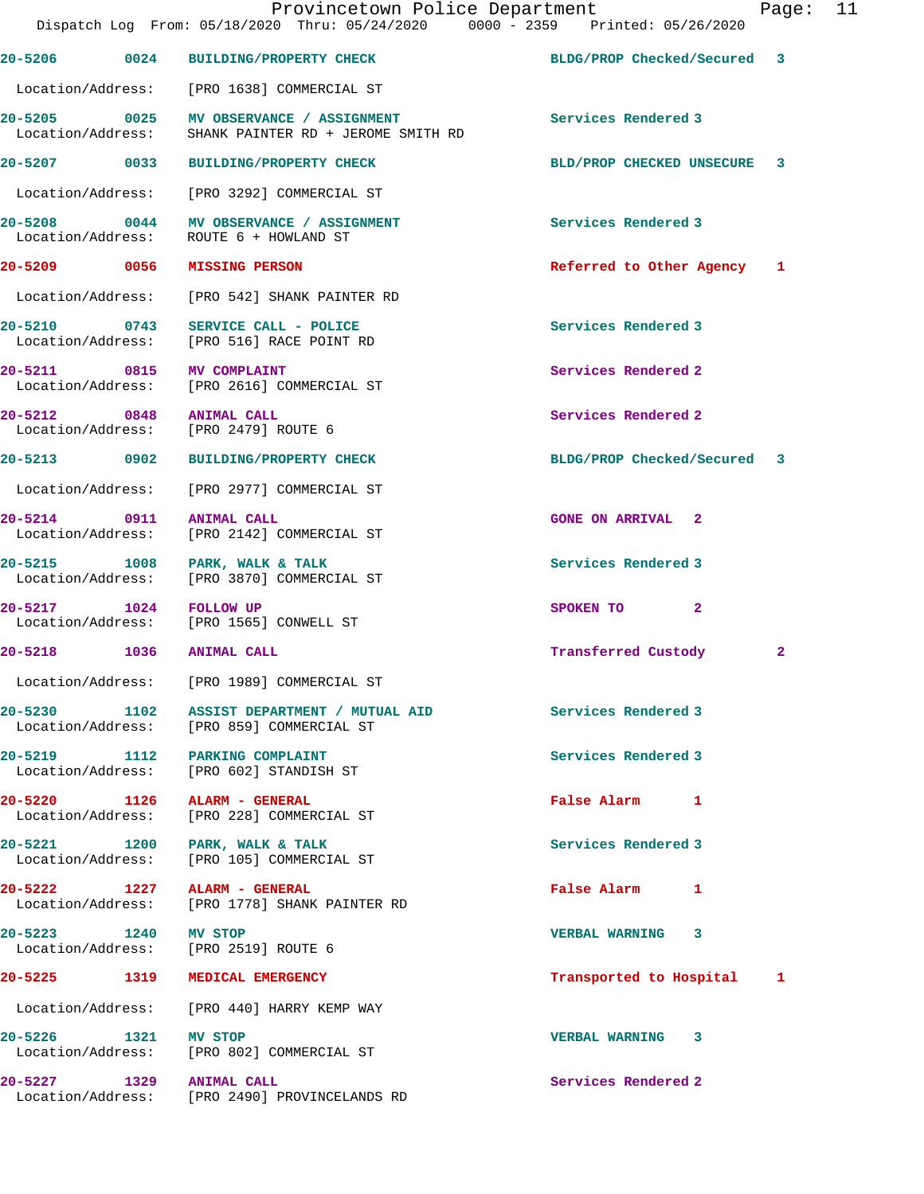| Provincetown Police Department<br>Dispatch Log From: 05/18/2020 Thru: 05/24/2020 0000 - 2359 Printed: 05/26/2020 |  |                                                                                          |                             |    | Page: 11 |
|------------------------------------------------------------------------------------------------------------------|--|------------------------------------------------------------------------------------------|-----------------------------|----|----------|
|                                                                                                                  |  | 20-5206 0024 BUILDING/PROPERTY CHECK                                                     | BLDG/PROP Checked/Secured 3 |    |          |
|                                                                                                                  |  | Location/Address: [PRO 1638] COMMERCIAL ST                                               |                             |    |          |
| Location/Address:                                                                                                |  | 20-5205 0025 MV OBSERVANCE / ASSIGNMENT<br>SHANK PAINTER RD + JEROME SMITH RD            | Services Rendered 3         |    |          |
|                                                                                                                  |  | 20-5207 0033 BUILDING/PROPERTY CHECK                                                     | BLD/PROP CHECKED UNSECURE   | -3 |          |
|                                                                                                                  |  | Location/Address: [PRO 3292] COMMERCIAL ST                                               |                             |    |          |
| Location/Address:                                                                                                |  | 20-5208 0044 MV OBSERVANCE / ASSIGNMENT<br>ROUTE 6 + HOWLAND ST                          | Services Rendered 3         |    |          |
|                                                                                                                  |  | 20-5209 0056 MISSING PERSON                                                              | Referred to Other Agency 1  |    |          |
|                                                                                                                  |  | Location/Address: [PRO 542] SHANK PAINTER RD                                             |                             |    |          |
|                                                                                                                  |  | 20-5210 0743 SERVICE CALL - POLICE<br>Location/Address: [PRO 516] RACE POINT RD          | Services Rendered 3         |    |          |
|                                                                                                                  |  | 20-5211 0815 MV COMPLAINT<br>Location/Address: [PRO 2616] COMMERCIAL ST                  | Services Rendered 2         |    |          |
|                                                                                                                  |  | 20-5212 0848 ANIMAL CALL<br>Location/Address: [PRO 2479] ROUTE 6                         | Services Rendered 2         |    |          |
|                                                                                                                  |  | 20-5213 0902 BUILDING/PROPERTY CHECK                                                     | BLDG/PROP Checked/Secured 3 |    |          |
|                                                                                                                  |  | Location/Address: [PRO 2977] COMMERCIAL ST                                               |                             |    |          |
|                                                                                                                  |  | 20-5214 0911 ANIMAL CALL<br>Location/Address: [PRO 2142] COMMERCIAL ST                   | <b>GONE ON ARRIVAL 2</b>    |    |          |
| Location/Address:                                                                                                |  | 20-5215 1008 PARK, WALK & TALK<br>[PRO 3870] COMMERCIAL ST                               | Services Rendered 3         |    |          |
| 20-5217 1024 FOLLOW UP                                                                                           |  | Location/Address: [PRO 1565] CONWELL ST                                                  | SPOKEN TO 2                 |    |          |
|                                                                                                                  |  | 20-5218 1036 ANIMAL CALL                                                                 | Transferred Custody         | 2  |          |
| Location/Address:                                                                                                |  | [PRO 1989] COMMERCIAL ST                                                                 |                             |    |          |
|                                                                                                                  |  | 20-5230 1102 ASSIST DEPARTMENT / MUTUAL AID<br>Location/Address: [PRO 859] COMMERCIAL ST | Services Rendered 3         |    |          |
|                                                                                                                  |  | 20-5219 1112 PARKING COMPLAINT<br>Location/Address: [PRO 602] STANDISH ST                | Services Rendered 3         |    |          |
|                                                                                                                  |  | 20-5220 1126 ALARM - GENERAL<br>Location/Address: [PRO 228] COMMERCIAL ST                | False Alarm 1               |    |          |
|                                                                                                                  |  | 20-5221 1200 PARK, WALK & TALK<br>Location/Address: [PRO 105] COMMERCIAL ST              | Services Rendered 3         |    |          |
|                                                                                                                  |  | 20-5222 1227 ALARM - GENERAL<br>Location/Address: [PRO 1778] SHANK PAINTER RD            | False Alarm 1               |    |          |
| 20-5223 1240 MV STOP                                                                                             |  | Location/Address: [PRO 2519] ROUTE 6                                                     | VERBAL WARNING 3            |    |          |
|                                                                                                                  |  | 20-5225 1319 MEDICAL EMERGENCY                                                           | Transported to Hospital 1   |    |          |
|                                                                                                                  |  | Location/Address: [PRO 440] HARRY KEMP WAY                                               |                             |    |          |
| 20-5226 1321 MV STOP                                                                                             |  | Location/Address: [PRO 802] COMMERCIAL ST                                                | VERBAL WARNING 3            |    |          |
|                                                                                                                  |  | 20-5227 1329 ANIMAL CALL                                                                 | Services Rendered 2         |    |          |

Location/Address: [PRO 2490] PROVINCELANDS RD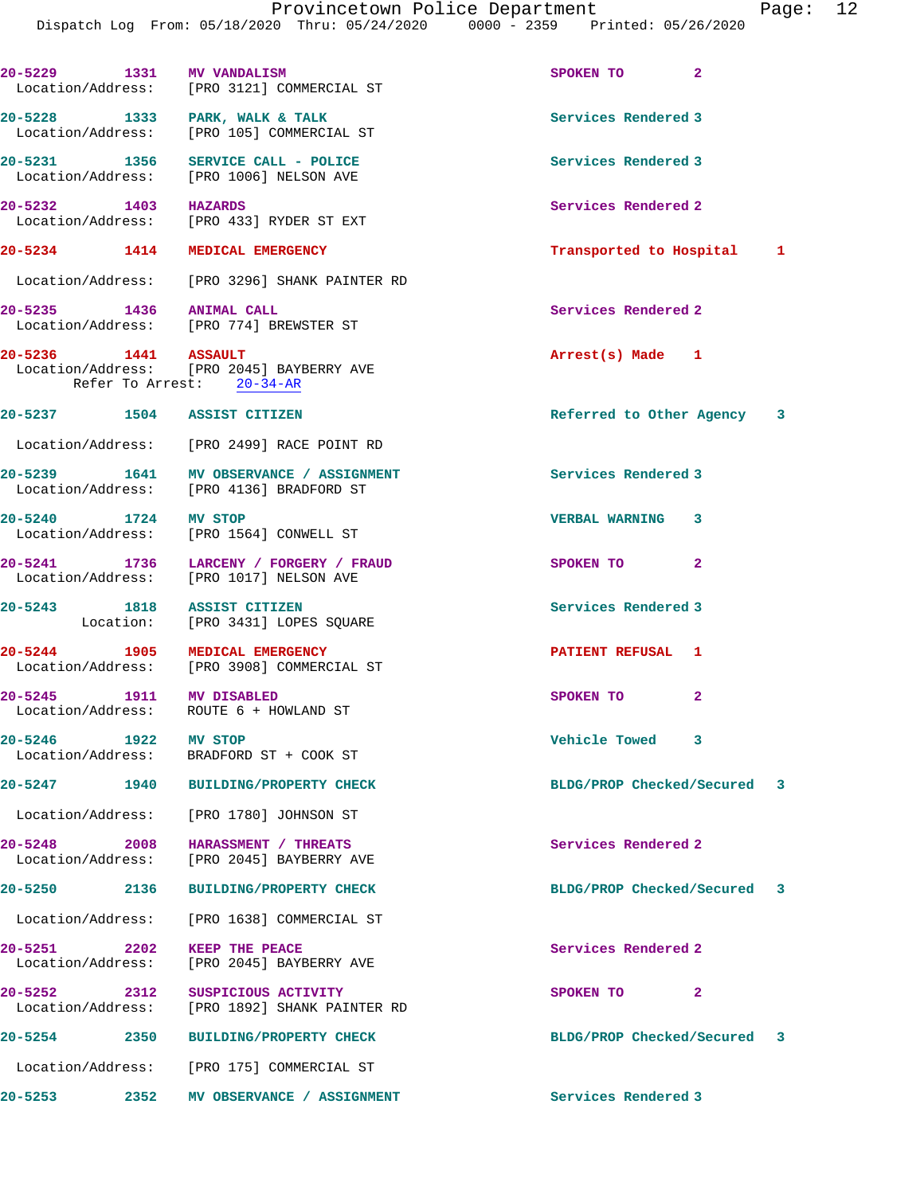**20-5229 1331 MV VANDALISM SPOKEN TO 2**  Location/Address: [PRO 3121] COMMERCIAL ST **20-5228 1333 PARK, WALK & TALK Services Rendered 3**  Location/Address: [PRO 105] COMMERCIAL ST **20-5231 1356 SERVICE CALL - POLICE Services Rendered 3**  Location/Address: [PRO 1006] NELSON AVE **20-5232 1403 HAZARDS Services Rendered 2** 

Location/Address: [PRO 433] RYDER ST EXT

Location/Address: [PRO 3296] SHANK PAINTER RD

**20-5235** 1436 ANIMAL CALL **120-5235** Services Rendered 2 Location/Address: [PRO 774] BREWSTER ST

**20-5236 1441 ASSAULT Arrest(s) Made 1**  Location/Address: [PRO 2045] BAYBERRY AVE Refer To Arrest: 20-34-AR

**20-5237 1504 ASSIST CITIZEN Referred to Other Agency 3**

Location/Address: [PRO 2499] RACE POINT RD

[PRO 3908] COMMERCIAL ST

**20-5239 1641 MV OBSERVANCE / ASSIGNMENT Services Rendered 3**  Location/Address: [PRO 4136] BRADFORD ST

**20-5240 1724 MV STOP VERBAL WARNING 3**  Location/Address: [PRO 1564] CONWELL ST

**20-5241 1736 LARCENY / FORGERY / FRAUD SPOKEN TO 2**  Location/Address: [PRO 1017] NELSON AVE

Location: [PRO 3431] LOPES SQUARE

**20-5244 1905 MEDICAL EMERGENCY PATIENT REFUSAL 1 PACE DESCRIPTION PATIENT REFUSAL 1** 

**20-5245 1911 MV DISABLED SPOKEN TO 2**  Location/Address: ROUTE 6 + HOWLAND ST

**20-5246 1922 MV STOP Vehicle Towed 3**  Location/Address: BRADFORD ST + COOK ST

Location/Address: [PRO 1780] JOHNSON ST

**20-5248 2008 HARASSMENT / THREATS Services Rendered 2**  Location/Address: [PRO 2045] BAYBERRY AVE

Location/Address: [PRO 1638] COMMERCIAL ST

**20-5251 2202 KEEP THE PEACE Services Rendered 2**  Location/Address: [PRO 2045] BAYBERRY AVE

Location/Address: [PRO 1892] SHANK PAINTER RD

Location/Address: [PRO 175] COMMERCIAL ST

**20-5253 2352 MV OBSERVANCE / ASSIGNMENT Services Rendered 3** 

**20-5234 1414 MEDICAL EMERGENCY Transported to Hospital 1**

**20-5243 1818 ASSIST CITIZEN Services Rendered 3** 

**20-5247 1940 BUILDING/PROPERTY CHECK BLDG/PROP Checked/Secured 3**

**20-5250 2136 BUILDING/PROPERTY CHECK BLDG/PROP Checked/Secured 3**

**20-5252 2312 SUSPICIOUS ACTIVITY SPOKEN TO 2** 

**20-5254 2350 BUILDING/PROPERTY CHECK BLDG/PROP Checked/Secured 3**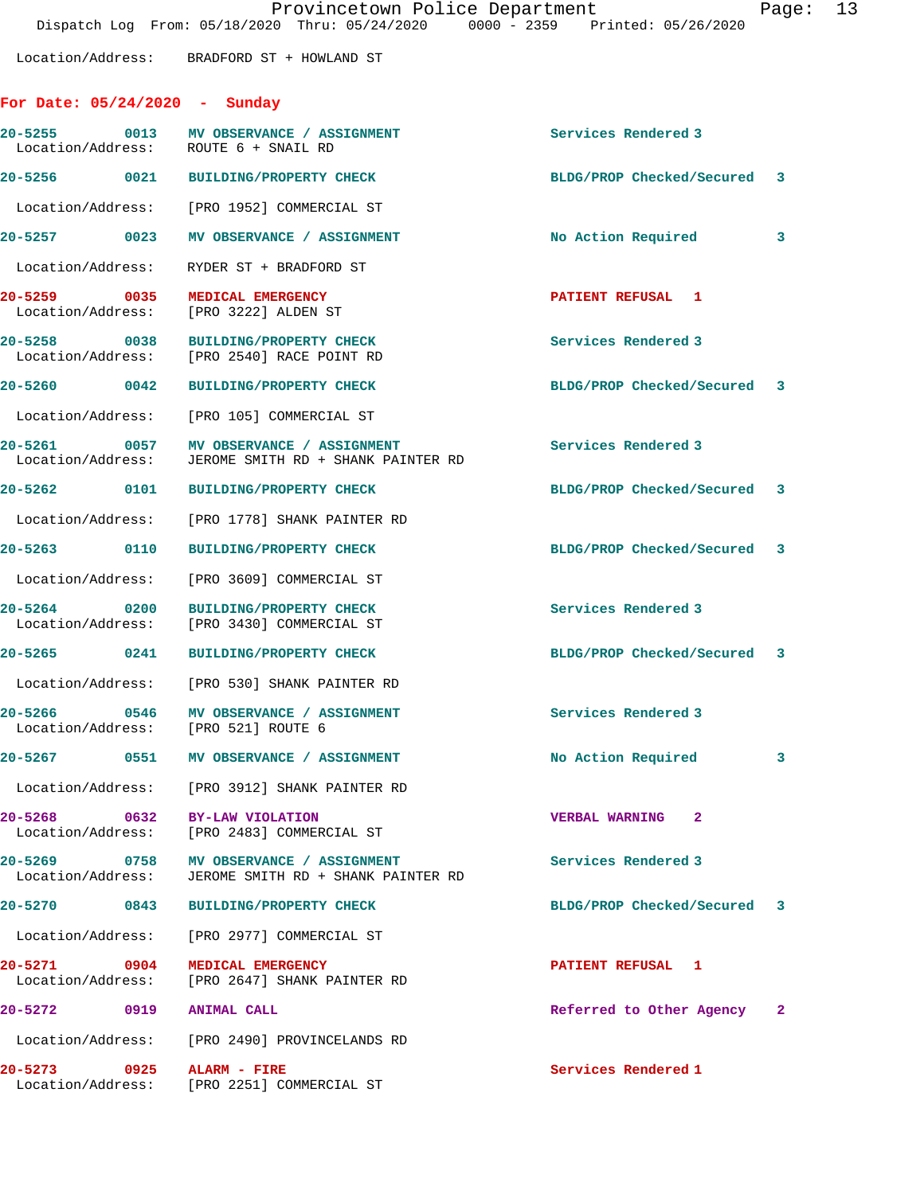Location/Address: BRADFORD ST + HOWLAND ST

## **For Date: 05/24/2020 - Sunday**

|                                | 20-5255 0013 MV OBSERVANCE / ASSIGNMENT<br>Location/Address: ROUTE 6 + SNAIL RD                 | Services Rendered 3         |   |
|--------------------------------|-------------------------------------------------------------------------------------------------|-----------------------------|---|
|                                | 20-5256 0021 BUILDING/PROPERTY CHECK                                                            | BLDG/PROP Checked/Secured 3 |   |
|                                | Location/Address: [PRO 1952] COMMERCIAL ST                                                      |                             |   |
|                                | 20-5257 0023 MV OBSERVANCE / ASSIGNMENT                                                         | No Action Required 3        |   |
|                                | Location/Address: RYDER ST + BRADFORD ST                                                        |                             |   |
|                                | 20-5259 0035 MEDICAL EMERGENCY<br>Location/Address: [PRO 3222] ALDEN ST                         | PATIENT REFUSAL 1           |   |
|                                | 20-5258 0038 BUILDING/PROPERTY CHECK<br>Location/Address: [PRO 2540] RACE POINT RD              | Services Rendered 3         |   |
|                                | 20-5260 0042 BUILDING/PROPERTY CHECK                                                            | BLDG/PROP Checked/Secured 3 |   |
|                                | Location/Address: [PRO 105] COMMERCIAL ST                                                       |                             |   |
|                                | 20-5261 0057 MV OBSERVANCE / ASSIGNMENT<br>Location/Address: JEROME SMITH RD + SHANK PAINTER RD | Services Rendered 3         |   |
|                                | 20-5262 0101 BUILDING/PROPERTY CHECK                                                            | BLDG/PROP Checked/Secured 3 |   |
|                                | Location/Address: [PRO 1778] SHANK PAINTER RD                                                   |                             |   |
|                                | 20-5263 0110 BUILDING/PROPERTY CHECK                                                            | BLDG/PROP Checked/Secured 3 |   |
|                                | Location/Address: [PRO 3609] COMMERCIAL ST                                                      |                             |   |
|                                | 20-5264 0200 BUILDING/PROPERTY CHECK<br>Location/Address: [PRO 3430] COMMERCIAL ST              | Services Rendered 3         |   |
|                                | 20-5265 0241 BUILDING/PROPERTY CHECK                                                            | BLDG/PROP Checked/Secured 3 |   |
|                                | Location/Address: [PRO 530] SHANK PAINTER RD                                                    |                             |   |
|                                | 20-5266 0546 MV OBSERVANCE / ASSIGNMENT<br>Location/Address: [PRO 521] ROUTE 6                  | Services Rendered 3         |   |
|                                | 20-5267 0551 MV OBSERVANCE / ASSIGNMENT                                                         | No Action Required          | 3 |
|                                | Location/Address: [PRO 3912] SHANK PAINTER RD                                                   |                             |   |
| 20-5268 0632 BY-LAW VIOLATION  | Location/Address: [PRO 2483] COMMERCIAL ST                                                      | <b>VERBAL WARNING 2</b>     |   |
|                                | 20-5269 0758 MV OBSERVANCE / ASSIGNMENT<br>Location/Address: JEROME SMITH RD + SHANK PAINTER RD | Services Rendered 3         |   |
|                                | 20-5270 0843 BUILDING/PROPERTY CHECK                                                            | BLDG/PROP Checked/Secured 3 |   |
|                                | Location/Address: [PRO 2977] COMMERCIAL ST                                                      |                             |   |
| 20-5271 0904 MEDICAL EMERGENCY | Location/Address: [PRO 2647] SHANK PAINTER RD                                                   | PATIENT REFUSAL 1           |   |
| 20-5272 0919 ANIMAL CALL       |                                                                                                 | Referred to Other Agency 2  |   |
|                                | Location/Address: [PRO 2490] PROVINCELANDS RD                                                   |                             |   |
| $20 - 5273$                    | 0925 ALARM - FIRE<br>Location/Address: [PRO 2251] COMMERCIAL ST                                 | Services Rendered 1         |   |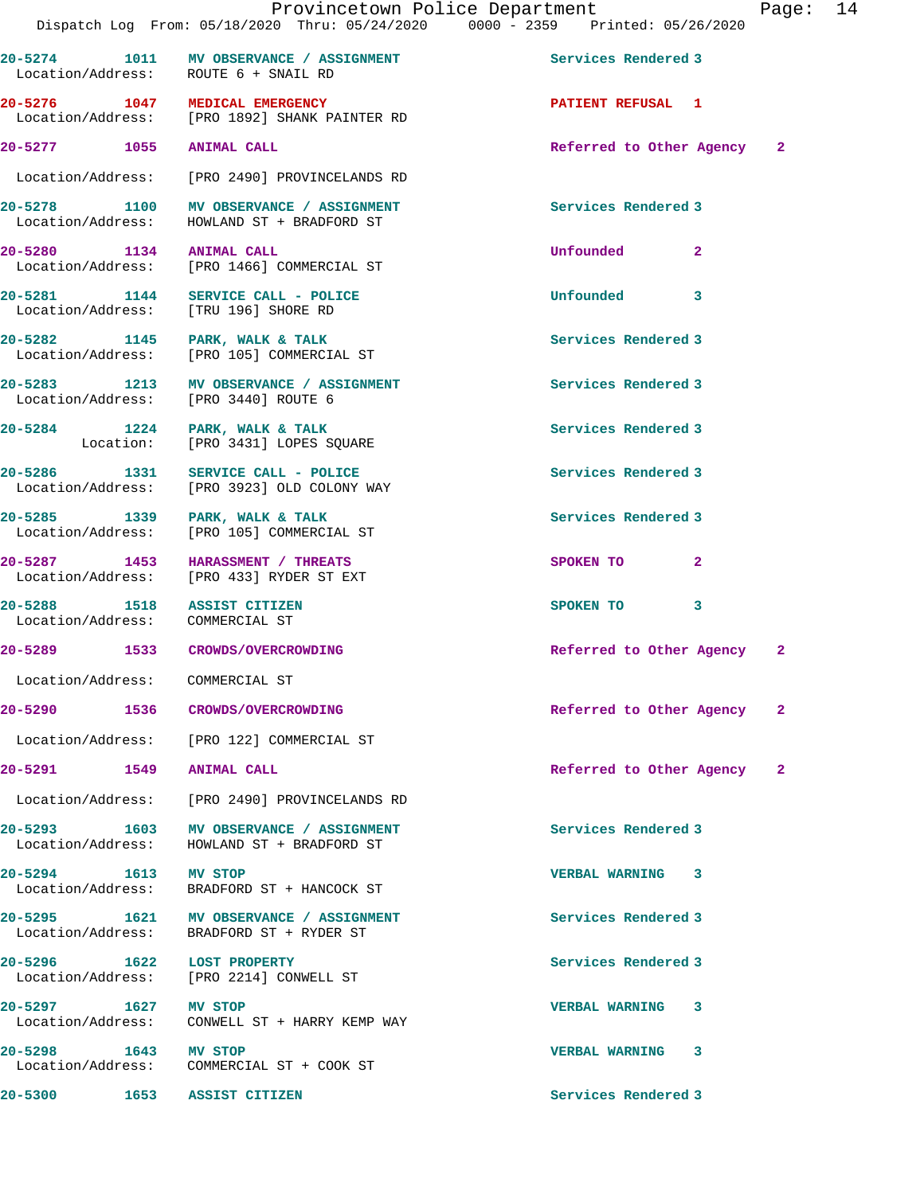|                                 |      | 20-5274 1011 MV OBSERVANCE / ASSIGNMENT<br>Location/Address: ROUTE 6 + SNAIL RD       | Services Rendered 3        |              |    |
|---------------------------------|------|---------------------------------------------------------------------------------------|----------------------------|--------------|----|
|                                 |      | 20-5276 1047 MEDICAL EMERGENCY<br>Location/Address: [PRO 1892] SHANK PAINTER RD       | <b>PATIENT REFUSAL 1</b>   |              |    |
| 20-5277 1055 ANIMAL CALL        |      |                                                                                       | Referred to Other Agency 2 |              |    |
|                                 |      | Location/Address: [PRO 2490] PROVINCELANDS RD                                         |                            |              |    |
|                                 |      | 20-5278 1100 MV OBSERVANCE / ASSIGNMENT<br>Location/Address: HOWLAND ST + BRADFORD ST | Services Rendered 3        |              |    |
| 20-5280 1134 ANIMAL CALL        |      | Location/Address: [PRO 1466] COMMERCIAL ST                                            | Unfounded 2                |              |    |
|                                 |      | 20-5281 1144 SERVICE CALL - POLICE<br>Location/Address: [TRU 196] SHORE RD            | Unfounded 3                |              |    |
|                                 |      | 20-5282 1145 PARK, WALK & TALK<br>Location/Address: [PRO 105] COMMERCIAL ST           | Services Rendered 3        |              |    |
|                                 |      | 20-5283 1213 MV OBSERVANCE / ASSIGNMENT<br>Location/Address: [PRO 3440] ROUTE 6       | Services Rendered 3        |              |    |
|                                 |      | 20-5284 1224 PARK, WALK & TALK<br>Location: [PRO 3431] LOPES SQUARE                   | Services Rendered 3        |              |    |
| 20-5286 1331                    |      | SERVICE CALL - POLICE<br>Location/Address: [PRO 3923] OLD COLONY WAY                  | Services Rendered 3        |              |    |
|                                 |      | 20-5285 1339 PARK, WALK & TALK<br>Location/Address: [PRO 105] COMMERCIAL ST           | Services Rendered 3        |              |    |
|                                 |      | 20-5287 1453 HARASSMENT / THREATS<br>Location/Address: [PRO 433] RYDER ST EXT         | SPOKEN TO                  | $\mathbf{2}$ |    |
| Location/Address: COMMERCIAL ST |      | 20-5288 1518 ASSIST CITIZEN                                                           | SPOKEN TO 3                |              |    |
|                                 |      | 20-5289 1533 CROWDS/OVERCROWDING                                                      | Referred to Other Agency 2 |              |    |
| Location/Address: COMMERCIAL ST |      |                                                                                       |                            |              |    |
| 20-5290                         | 1536 | CROWDS/OVERCROWDING                                                                   | Referred to Other Agency   |              | -2 |
|                                 |      | Location/Address: [PRO 122] COMMERCIAL ST                                             |                            |              |    |
| 20-5291 1549 ANIMAL CALL        |      |                                                                                       | Referred to Other Agency 2 |              |    |
|                                 |      | Location/Address: [PRO 2490] PROVINCELANDS RD                                         |                            |              |    |
|                                 |      | 20-5293 1603 MV OBSERVANCE / ASSIGNMENT<br>Location/Address: HOWLAND ST + BRADFORD ST | Services Rendered 3        |              |    |
| 20-5294 1613 MV STOP            |      | Location/Address: BRADFORD ST + HANCOCK ST                                            | VERBAL WARNING 3           |              |    |
|                                 |      | 20-5295 1621 MV OBSERVANCE / ASSIGNMENT<br>Location/Address: BRADFORD ST + RYDER ST   | Services Rendered 3        |              |    |
| 20-5296 1622 LOST PROPERTY      |      | Location/Address: [PRO 2214] CONWELL ST                                               | Services Rendered 3        |              |    |
| 20-5297 1627 MV STOP            |      | Location/Address: CONWELL ST + HARRY KEMP WAY                                         | VERBAL WARNING 3           |              |    |
| 20-5298 1643 MV STOP            |      | Location/Address: COMMERCIAL ST + COOK ST                                             | VERBAL WARNING 3           |              |    |
| 20-5300                         |      | 1653 ASSIST CITIZEN                                                                   | Services Rendered 3        |              |    |